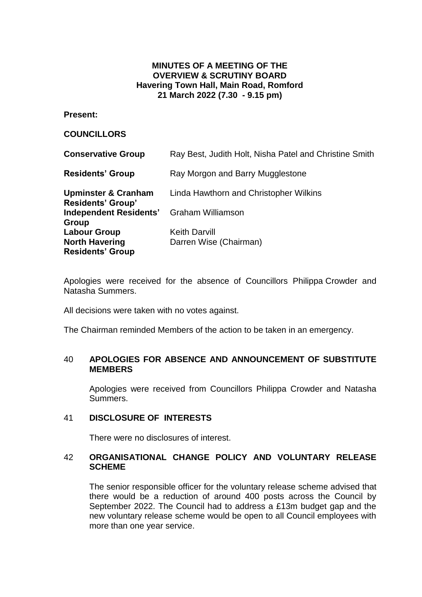# **MINUTES OF A MEETING OF THE OVERVIEW & SCRUTINY BOARD Havering Town Hall, Main Road, Romford 21 March 2022 (7.30 - 9.15 pm)**

**Present:**

#### **COUNCILLORS**

| <b>Conservative Group</b>                                  | Ray Best, Judith Holt, Nisha Patel and Christine Smith |
|------------------------------------------------------------|--------------------------------------------------------|
| <b>Residents' Group</b>                                    | Ray Morgon and Barry Mugglestone                       |
| <b>Upminster &amp; Cranham</b><br><b>Residents' Group'</b> | Linda Hawthorn and Christopher Wilkins                 |
| <b>Independent Residents'</b><br>Group                     | Graham Williamson                                      |
| <b>Labour Group</b>                                        | <b>Keith Darvill</b>                                   |
| <b>North Havering</b>                                      | Darren Wise (Chairman)                                 |
| <b>Residents' Group</b>                                    |                                                        |

Apologies were received for the absence of Councillors Philippa Crowder and Natasha Summers.

All decisions were taken with no votes against.

The Chairman reminded Members of the action to be taken in an emergency.

## 40 **APOLOGIES FOR ABSENCE AND ANNOUNCEMENT OF SUBSTITUTE MEMBERS**

Apologies were received from Councillors Philippa Crowder and Natasha **Summers** 

## 41 **DISCLOSURE OF INTERESTS**

There were no disclosures of interest.

## 42 **ORGANISATIONAL CHANGE POLICY AND VOLUNTARY RELEASE SCHEME**

The senior responsible officer for the voluntary release scheme advised that there would be a reduction of around 400 posts across the Council by September 2022. The Council had to address a £13m budget gap and the new voluntary release scheme would be open to all Council employees with more than one year service.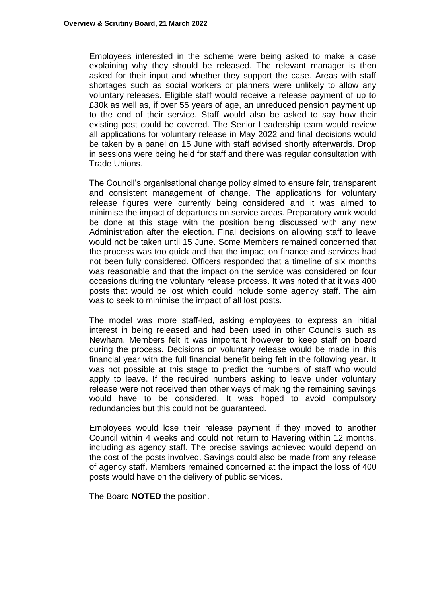Employees interested in the scheme were being asked to make a case explaining why they should be released. The relevant manager is then asked for their input and whether they support the case. Areas with staff shortages such as social workers or planners were unlikely to allow any voluntary releases. Eligible staff would receive a release payment of up to £30k as well as, if over 55 years of age, an unreduced pension payment up to the end of their service. Staff would also be asked to say how their existing post could be covered. The Senior Leadership team would review all applications for voluntary release in May 2022 and final decisions would be taken by a panel on 15 June with staff advised shortly afterwards. Drop in sessions were being held for staff and there was regular consultation with Trade Unions.

The Council's organisational change policy aimed to ensure fair, transparent and consistent management of change. The applications for voluntary release figures were currently being considered and it was aimed to minimise the impact of departures on service areas. Preparatory work would be done at this stage with the position being discussed with any new Administration after the election. Final decisions on allowing staff to leave would not be taken until 15 June. Some Members remained concerned that the process was too quick and that the impact on finance and services had not been fully considered. Officers responded that a timeline of six months was reasonable and that the impact on the service was considered on four occasions during the voluntary release process. It was noted that it was 400 posts that would be lost which could include some agency staff. The aim was to seek to minimise the impact of all lost posts.

The model was more staff-led, asking employees to express an initial interest in being released and had been used in other Councils such as Newham. Members felt it was important however to keep staff on board during the process. Decisions on voluntary release would be made in this financial year with the full financial benefit being felt in the following year. It was not possible at this stage to predict the numbers of staff who would apply to leave. If the required numbers asking to leave under voluntary release were not received then other ways of making the remaining savings would have to be considered. It was hoped to avoid compulsory redundancies but this could not be guaranteed.

Employees would lose their release payment if they moved to another Council within 4 weeks and could not return to Havering within 12 months, including as agency staff. The precise savings achieved would depend on the cost of the posts involved. Savings could also be made from any release of agency staff. Members remained concerned at the impact the loss of 400 posts would have on the delivery of public services.

The Board **NOTED** the position.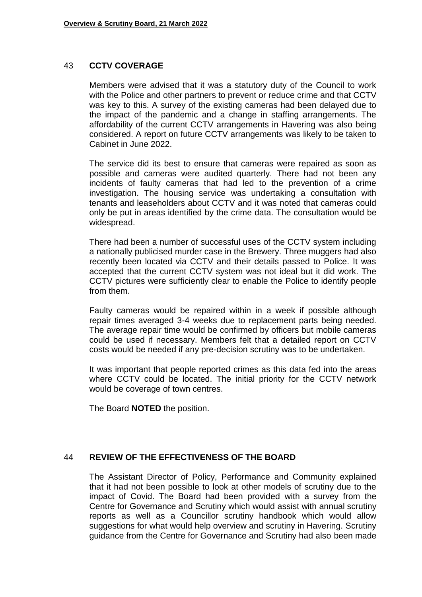#### 43 **CCTV COVERAGE**

Members were advised that it was a statutory duty of the Council to work with the Police and other partners to prevent or reduce crime and that CCTV was key to this. A survey of the existing cameras had been delayed due to the impact of the pandemic and a change in staffing arrangements. The affordability of the current CCTV arrangements in Havering was also being considered. A report on future CCTV arrangements was likely to be taken to Cabinet in June 2022.

The service did its best to ensure that cameras were repaired as soon as possible and cameras were audited quarterly. There had not been any incidents of faulty cameras that had led to the prevention of a crime investigation. The housing service was undertaking a consultation with tenants and leaseholders about CCTV and it was noted that cameras could only be put in areas identified by the crime data. The consultation would be widespread.

There had been a number of successful uses of the CCTV system including a nationally publicised murder case in the Brewery. Three muggers had also recently been located via CCTV and their details passed to Police. It was accepted that the current CCTV system was not ideal but it did work. The CCTV pictures were sufficiently clear to enable the Police to identify people from them.

Faulty cameras would be repaired within in a week if possible although repair times averaged 3-4 weeks due to replacement parts being needed. The average repair time would be confirmed by officers but mobile cameras could be used if necessary. Members felt that a detailed report on CCTV costs would be needed if any pre-decision scrutiny was to be undertaken.

It was important that people reported crimes as this data fed into the areas where CCTV could be located. The initial priority for the CCTV network would be coverage of town centres.

The Board **NOTED** the position.

#### 44 **REVIEW OF THE EFFECTIVENESS OF THE BOARD**

The Assistant Director of Policy, Performance and Community explained that it had not been possible to look at other models of scrutiny due to the impact of Covid. The Board had been provided with a survey from the Centre for Governance and Scrutiny which would assist with annual scrutiny reports as well as a Councillor scrutiny handbook which would allow suggestions for what would help overview and scrutiny in Havering. Scrutiny guidance from the Centre for Governance and Scrutiny had also been made